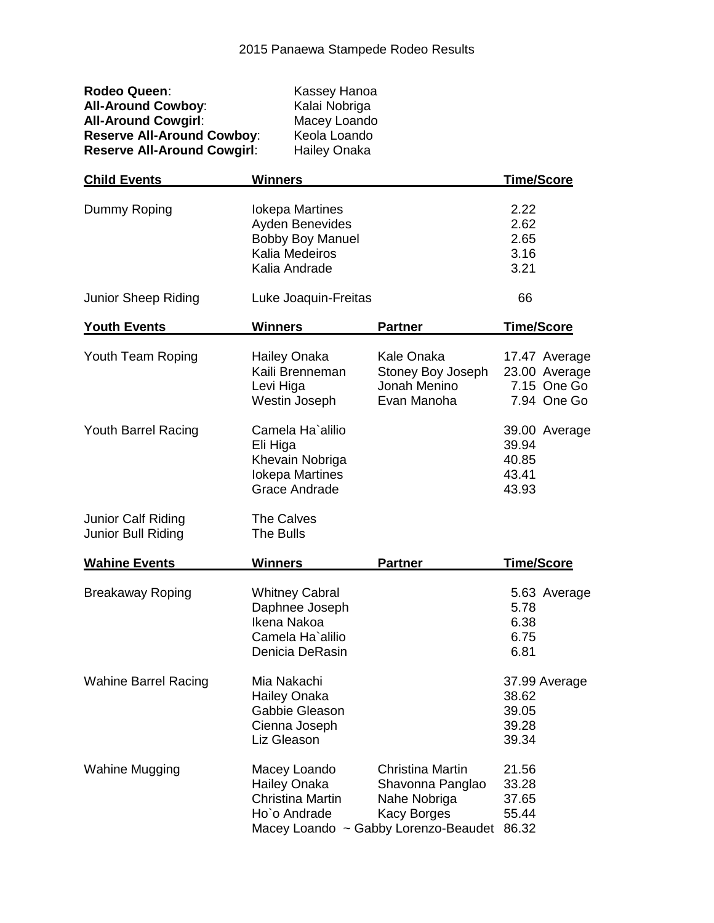| Rodeo Queen:                       | Kassey Hanoa        |
|------------------------------------|---------------------|
| <b>All-Around Cowboy:</b>          | Kalai Nobriga       |
| <b>All-Around Cowgirl:</b>         | Macey Loando        |
| <b>Reserve All-Around Cowboy:</b>  | Keola Loando        |
| <b>Reserve All-Around Cowgirl:</b> | <b>Hailey Onaka</b> |

| <b>Child Events</b>                      | <b>Winners</b>                                                                                          |                                                                                                                           | <b>Time/Score</b>                                            |
|------------------------------------------|---------------------------------------------------------------------------------------------------------|---------------------------------------------------------------------------------------------------------------------------|--------------------------------------------------------------|
| Dummy Roping                             | <b>lokepa Martines</b><br>Ayden Benevides<br><b>Bobby Boy Manuel</b><br>Kalia Medeiros<br>Kalia Andrade |                                                                                                                           | 2.22<br>2.62<br>2.65<br>3.16<br>3.21                         |
| Junior Sheep Riding                      | Luke Joaquin-Freitas                                                                                    |                                                                                                                           | 66                                                           |
| <b>Youth Events</b>                      | <b>Winners</b>                                                                                          | <b>Partner</b>                                                                                                            | <b>Time/Score</b>                                            |
| Youth Team Roping                        | Hailey Onaka<br>Kaili Brenneman<br>Levi Higa<br>Westin Joseph                                           | <b>Kale Onaka</b><br>Stoney Boy Joseph<br>Jonah Menino<br>Evan Manoha                                                     | 17.47 Average<br>23.00 Average<br>7.15 One Go<br>7.94 One Go |
| Youth Barrel Racing                      | Camela Ha'alilio<br>Eli Higa<br>Khevain Nobriga<br><b>lokepa Martines</b><br><b>Grace Andrade</b>       |                                                                                                                           | 39.00 Average<br>39.94<br>40.85<br>43.41<br>43.93            |
| Junior Calf Riding<br>Junior Bull Riding | The Calves<br>The Bulls                                                                                 |                                                                                                                           |                                                              |
| <b>Wahine Events</b>                     | <b>Winners</b>                                                                                          | <b>Partner</b>                                                                                                            | Time/Score                                                   |
| <b>Breakaway Roping</b>                  | <b>Whitney Cabral</b><br>Daphnee Joseph<br>Ikena Nakoa<br>Camela Ha'alilio<br>Denicia DeRasin           |                                                                                                                           | 5.63 Average<br>5.78<br>6.38<br>6.75<br>6.81                 |
| <b>Wahine Barrel Racing</b>              | Mia Nakachi<br>Hailey Onaka<br>Gabbie Gleason<br>Cienna Joseph<br>Liz Gleason                           |                                                                                                                           | 37.99 Average<br>38.62<br>39.05<br>39.28<br>39.34            |
| <b>Wahine Mugging</b>                    | Macey Loando<br><b>Hailey Onaka</b><br><b>Christina Martin</b><br>Ho'o Andrade                          | <b>Christina Martin</b><br>Shavonna Panglao<br>Nahe Nobriga<br><b>Kacy Borges</b><br>Macey Loando ~ Gabby Lorenzo-Beaudet | 21.56<br>33.28<br>37.65<br>55.44<br>86.32                    |